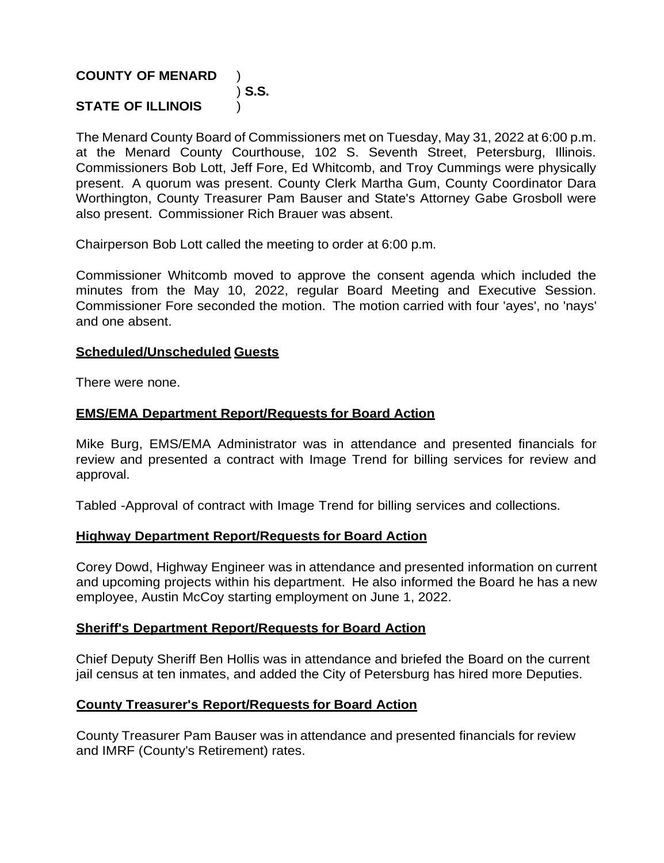## **COUNTY OF MENARD** )

#### ) **S.S. STATE OF ILLINOIS** )

The Menard County Board of Commissioners met on Tuesday, May 31, 2022 at 6:00 p.m. at the Menard County Courthouse, 102 S. Seventh Street, Petersburg, Illinois. Commissioners Bob Lott, Jeff Fore, Ed Whitcomb, and Troy Cummings were physically present. A quorum was present. County Clerk Martha Gum, County Coordinator Dara Worthington, County Treasurer Pam Bauser and State's Attorney Gabe Grosboll were also present. Commissioner Rich Brauer was absent.

Chairperson Bob Lott called the meeting to order at 6:00 p.m.

Commissioner Whitcomb moved to approve the consent agenda which included the minutes from the May 10, 2022, regular Board Meeting and Executive Session. Commissioner Fore seconded the motion. The motion carried with four 'ayes', no 'nays' and one absent.

#### **Scheduled/Unscheduled Guests**

There were none.

### **EMS/EMA Department Report/Requests for Board Action**

Mike Burg, EMS/EMA Administrator was in attendance and presented financials for review and presented a contract with Image Trend for billing services for review and approval.

Tabled -Approval of contract with Image Trend for billing services and collections.

#### **Highway Department Report/Requests for Board Action**

Corey Dowd, Highway Engineer was in attendance and presented information on current and upcoming projects within his department. He also informed the Board he has a new employee, Austin McCoy starting employment on June 1, 2022.

### **Sheriff's Department Report/Requests for Board Action**

Chief Deputy Sheriff Ben Hollis was in attendance and briefed the Board on the current jail census at ten inmates, and added the City of Petersburg has hired more Deputies.

### **County Treasurer's Report/Requests for Board Action**

County Treasurer Pam Bauser was in attendance and presented financials for review and IMRF (County's Retirement) rates.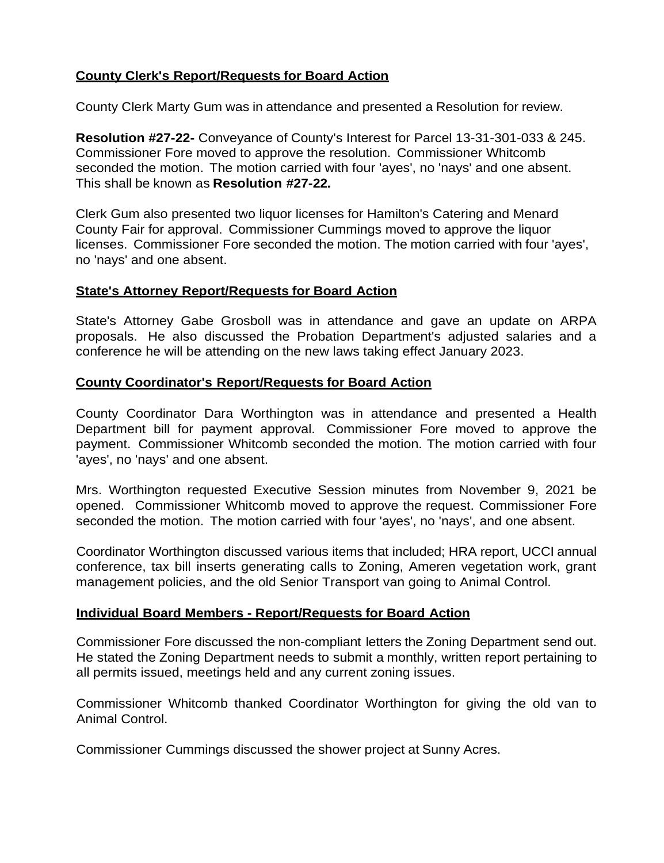# **County Clerk's Report/Requests for Board Action**

County Clerk Marty Gum was in attendance and presented a Resolution for review.

**Resolution #27-22-** Conveyance of County's Interest for Parcel 13-31-301-033 & 245. Commissioner Fore moved to approve the resolution. Commissioner Whitcomb seconded the motion. The motion carried with four 'ayes', no 'nays' and one absent. This shall be known as **Resolution #27-22.**

Clerk Gum also presented two liquor licenses for Hamilton's Catering and Menard County Fair for approval. Commissioner Cummings moved to approve the liquor licenses. Commissioner Fore seconded the motion. The motion carried with four 'ayes', no 'nays' and one absent.

## **State's Attorney Report/Requests for Board Action**

State's Attorney Gabe Grosboll was in attendance and gave an update on ARPA proposals. He also discussed the Probation Department's adjusted salaries and a conference he will be attending on the new laws taking effect January 2023.

## **County Coordinator's Report/Requests for Board Action**

County Coordinator Dara Worthington was in attendance and presented a Health Department bill for payment approval. Commissioner Fore moved to approve the payment. Commissioner Whitcomb seconded the motion. The motion carried with four 'ayes', no 'nays' and one absent.

Mrs. Worthington requested Executive Session minutes from November 9, 2021 be opened. Commissioner Whitcomb moved to approve the request. Commissioner Fore seconded the motion. The motion carried with four 'ayes', no 'nays', and one absent.

Coordinator Worthington discussed various items that included; HRA report, UCCI annual conference, tax bill inserts generating calls to Zoning, Ameren vegetation work, grant management policies, and the old Senior Transport van going to Animal Control.

### **Individual Board Members - Report/Requests for Board Action**

Commissioner Fore discussed the non-compliant letters the Zoning Department send out. He stated the Zoning Department needs to submit a monthly, written report pertaining to all permits issued, meetings held and any current zoning issues.

Commissioner Whitcomb thanked Coordinator Worthington for giving the old van to Animal Control.

Commissioner Cummings discussed the shower project at Sunny Acres.